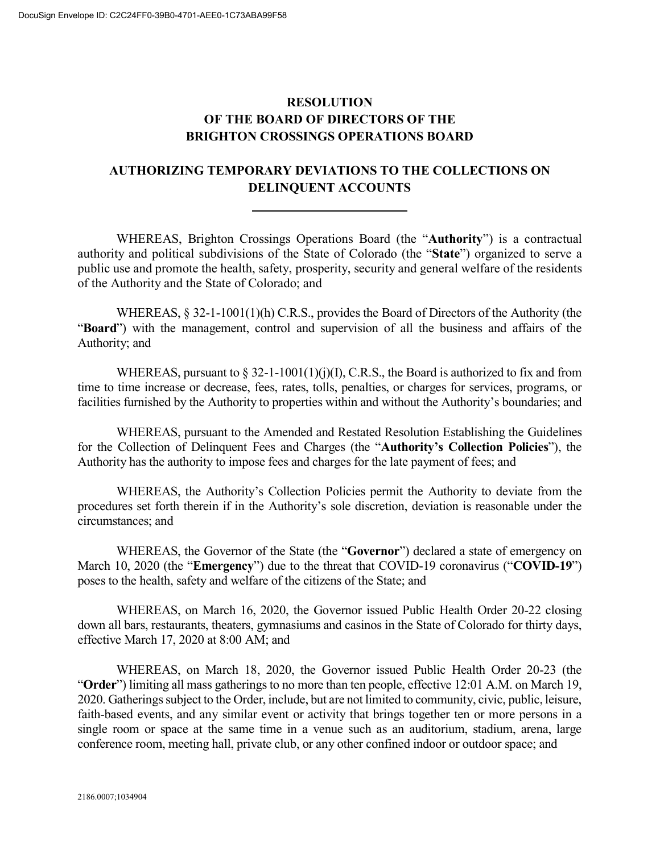## **RESOLUTION OF THE BOARD OF DIRECTORS OF THE BRIGHTON CROSSINGS OPERATIONS BOARD**

## **AUTHORIZING TEMPORARY DEVIATIONS TO THE COLLECTIONS ON DELINQUENT ACCOUNTS**

WHEREAS, Brighton Crossings Operations Board (the "**Authority**") is a contractual authority and political subdivisions of the State of Colorado (the "**State**") organized to serve a public use and promote the health, safety, prosperity, security and general welfare of the residents of the Authority and the State of Colorado; and

WHEREAS, § 32-1-1001(1)(h) C.R.S., provides the Board of Directors of the Authority (the "**Board**") with the management, control and supervision of all the business and affairs of the Authority; and

WHEREAS, pursuant to  $\S 32$ -1-1001(1)(j)(I), C.R.S., the Board is authorized to fix and from time to time increase or decrease, fees, rates, tolls, penalties, or charges for services, programs, or facilities furnished by the Authority to properties within and without the Authority's boundaries; and

WHEREAS, pursuant to the Amended and Restated Resolution Establishing the Guidelines for the Collection of Delinquent Fees and Charges (the "**Authority's Collection Policies**"), the Authority has the authority to impose fees and charges for the late payment of fees; and

WHEREAS, the Authority's Collection Policies permit the Authority to deviate from the procedures set forth therein if in the Authority's sole discretion, deviation is reasonable under the circumstances; and

WHEREAS, the Governor of the State (the "**Governor**") declared a state of emergency on March 10, 2020 (the "**Emergency**") due to the threat that COVID-19 coronavirus ("**COVID-19**") poses to the health, safety and welfare of the citizens of the State; and

WHEREAS, on March 16, 2020, the Governor issued Public Health Order 20-22 closing down all bars, restaurants, theaters, gymnasiums and casinos in the State of Colorado for thirty days, effective March 17, 2020 at 8:00 AM; and

WHEREAS, on March 18, 2020, the Governor issued Public Health Order 20-23 (the "**Order**") limiting all mass gatherings to no more than ten people, effective 12:01 A.M. on March 19, 2020. Gatherings subject to the Order, include, but are not limited to community, civic, public, leisure, faith-based events, and any similar event or activity that brings together ten or more persons in a single room or space at the same time in a venue such as an auditorium, stadium, arena, large conference room, meeting hall, private club, or any other confined indoor or outdoor space; and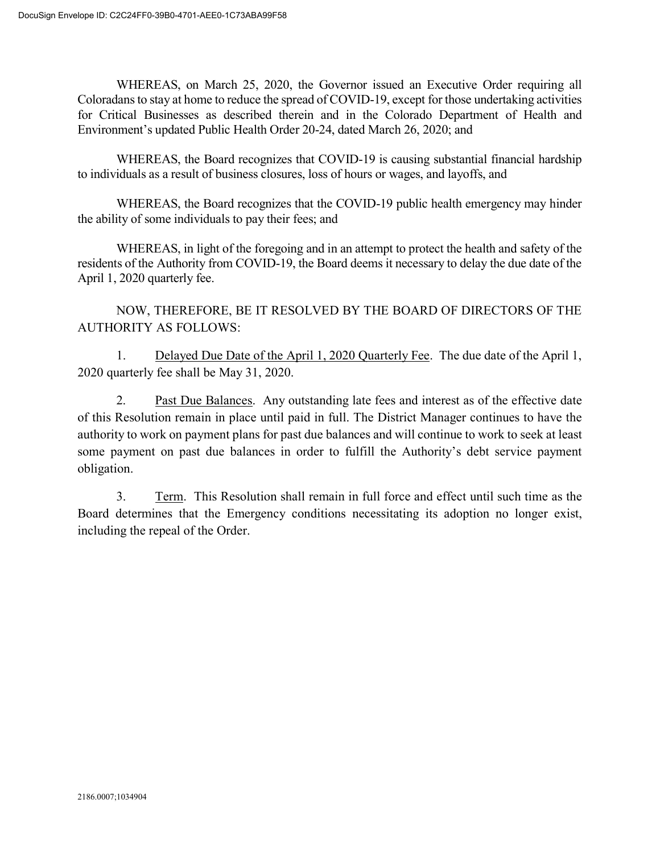WHEREAS, on March 25, 2020, the Governor issued an Executive Order requiring all Coloradans to stay at home to reduce the spread of COVID-19, except for those undertaking activities for Critical Businesses as described therein and in the Colorado Department of Health and Environment's updated Public Health Order 20-24, dated March 26, 2020; and

WHEREAS, the Board recognizes that COVID-19 is causing substantial financial hardship to individuals as a result of business closures, loss of hours or wages, and layoffs, and

WHEREAS, the Board recognizes that the COVID-19 public health emergency may hinder the ability of some individuals to pay their fees; and

WHEREAS, in light of the foregoing and in an attempt to protect the health and safety of the residents of the Authority from COVID-19, the Board deems it necessary to delay the due date of the April 1, 2020 quarterly fee.

NOW, THEREFORE, BE IT RESOLVED BY THE BOARD OF DIRECTORS OF THE AUTHORITY AS FOLLOWS:

1. Delayed Due Date of the April 1, 2020 Quarterly Fee. The due date of the April 1, 2020 quarterly fee shall be May 31, 2020.

2. Past Due Balances. Any outstanding late fees and interest as of the effective date of this Resolution remain in place until paid in full. The District Manager continues to have the authority to work on payment plans for past due balances and will continue to work to seek at least some payment on past due balances in order to fulfill the Authority's debt service payment obligation.

3. Term. This Resolution shall remain in full force and effect until such time as the Board determines that the Emergency conditions necessitating its adoption no longer exist, including the repeal of the Order.